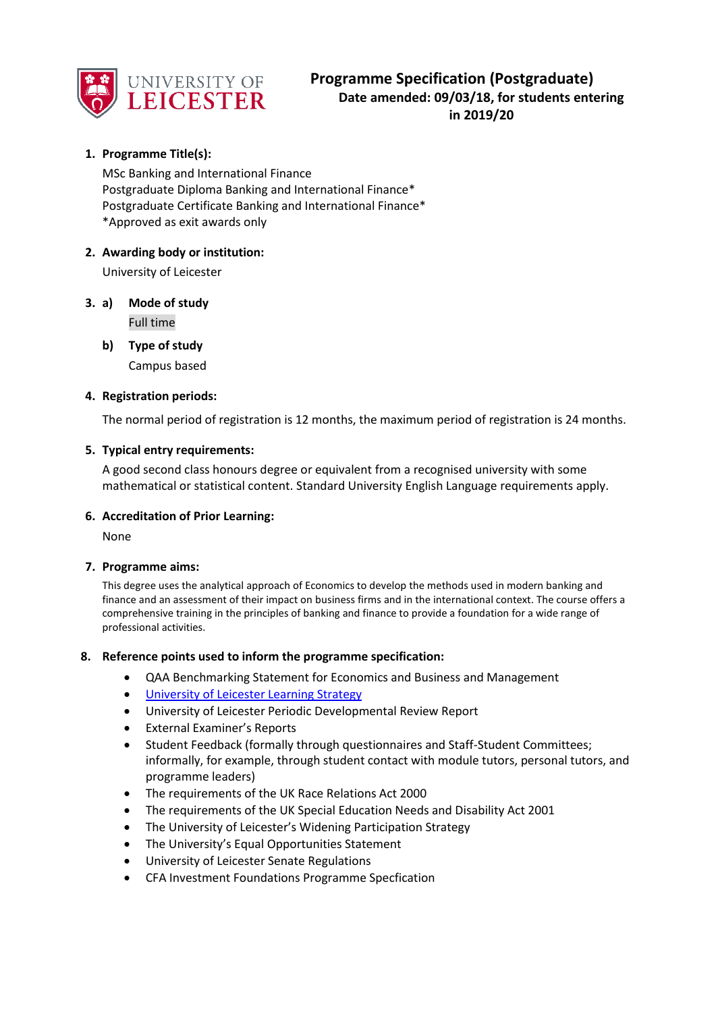

# **1. Programme Title(s):**

MSc Banking and International Finance Postgraduate Diploma Banking and International Finance\* Postgraduate Certificate Banking and International Finance\* \*Approved as exit awards only

## **2. Awarding body or institution:**

University of Leicester

- **3. a) Mode of study** Full time
	- **b) Type of study** Campus based

## **4. Registration periods:**

The normal period of registration is 12 months, the maximum period of registration is 24 months.

## **5. Typical entry requirements:**

A good second class honours degree or equivalent from a recognised university with some mathematical or statistical content. Standard University English Language requirements apply.

#### **6. Accreditation of Prior Learning:**

None

#### **7. Programme aims:**

This degree uses the analytical approach of Economics to develop the methods used in modern banking and finance and an assessment of their impact on business firms and in the international context. The course offers a comprehensive training in the principles of banking and finance to provide a foundation for a wide range of professional activities.

#### **8. Reference points used to inform the programme specification:**

- QAA Benchmarking Statement for Economics and Business and Management
- [University of Leicester Learning Strategy](https://www2.le.ac.uk/offices/sas2/quality/documents/learning-strategy-2016-2020)
- University of Leicester Periodic Developmental Review Report
- External Examiner's Reports
- Student Feedback (formally through questionnaires and Staff-Student Committees; informally, for example, through student contact with module tutors, personal tutors, and programme leaders)
- The requirements of the UK Race Relations Act 2000
- The requirements of the UK Special Education Needs and Disability Act 2001
- The University of Leicester's Widening Participation Strategy
- The University's Equal Opportunities Statement
- University of Leicester Senate Regulations
- CFA Investment Foundations Programme Specfication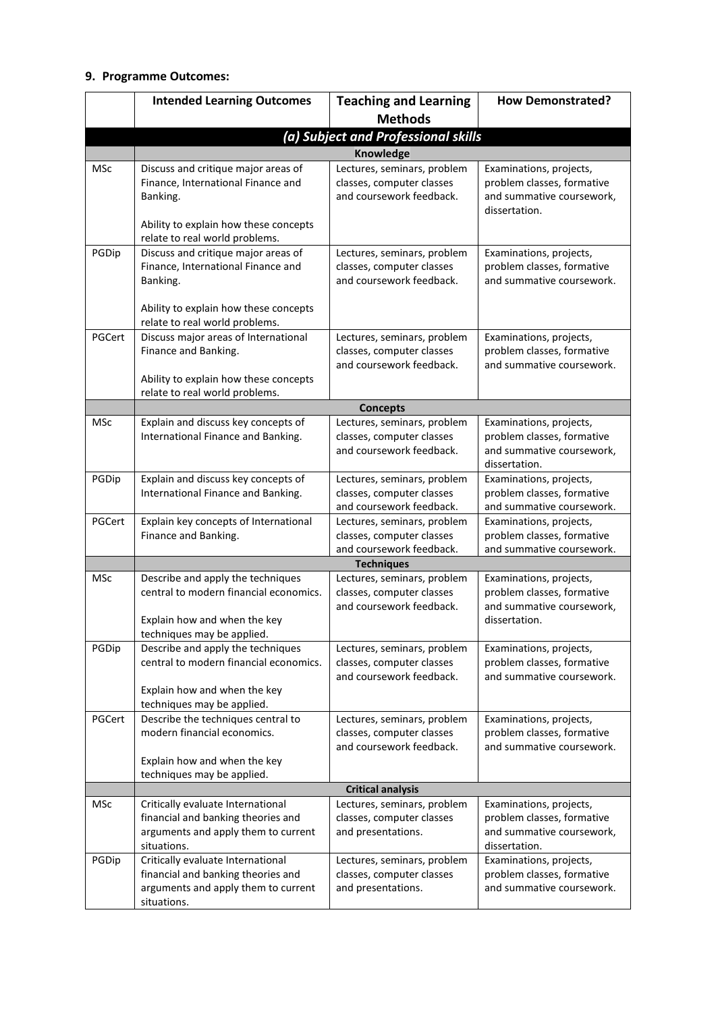## **9. Programme Outcomes:**

|            | <b>Intended Learning Outcomes</b>                                                                                                                                       | <b>Teaching and Learning</b>                                                         | <b>How Demonstrated?</b>                                                                            |
|------------|-------------------------------------------------------------------------------------------------------------------------------------------------------------------------|--------------------------------------------------------------------------------------|-----------------------------------------------------------------------------------------------------|
|            |                                                                                                                                                                         | <b>Methods</b>                                                                       |                                                                                                     |
|            |                                                                                                                                                                         | (a) Subject and Professional skills                                                  |                                                                                                     |
|            |                                                                                                                                                                         | Knowledge                                                                            |                                                                                                     |
| <b>MSc</b> | Discuss and critique major areas of<br>Finance, International Finance and<br>Banking.                                                                                   | Lectures, seminars, problem<br>classes, computer classes<br>and coursework feedback. | Examinations, projects,<br>problem classes, formative<br>and summative coursework,<br>dissertation. |
|            | Ability to explain how these concepts<br>relate to real world problems.                                                                                                 |                                                                                      |                                                                                                     |
| PGDip      | Discuss and critique major areas of<br>Finance, International Finance and<br>Banking.<br>Ability to explain how these concepts                                          | Lectures, seminars, problem<br>classes, computer classes<br>and coursework feedback. | Examinations, projects,<br>problem classes, formative<br>and summative coursework.                  |
|            | relate to real world problems.                                                                                                                                          |                                                                                      |                                                                                                     |
| PGCert     | Discuss major areas of International<br>Finance and Banking.<br>Ability to explain how these concepts                                                                   | Lectures, seminars, problem<br>classes, computer classes<br>and coursework feedback. | Examinations, projects,<br>problem classes, formative<br>and summative coursework.                  |
|            | relate to real world problems.                                                                                                                                          |                                                                                      |                                                                                                     |
|            |                                                                                                                                                                         | <b>Concepts</b>                                                                      |                                                                                                     |
| <b>MSc</b> | Explain and discuss key concepts of<br>International Finance and Banking.                                                                                               | Lectures, seminars, problem<br>classes, computer classes<br>and coursework feedback. | Examinations, projects,<br>problem classes, formative<br>and summative coursework,<br>dissertation. |
| PGDip      | Explain and discuss key concepts of<br>International Finance and Banking.                                                                                               | Lectures, seminars, problem<br>classes, computer classes<br>and coursework feedback. | Examinations, projects,<br>problem classes, formative<br>and summative coursework.                  |
| PGCert     | Explain key concepts of International<br>Finance and Banking.                                                                                                           | Lectures, seminars, problem<br>classes, computer classes<br>and coursework feedback. | Examinations, projects,<br>problem classes, formative<br>and summative coursework.                  |
|            |                                                                                                                                                                         | <b>Techniques</b>                                                                    |                                                                                                     |
| <b>MSc</b> | Describe and apply the techniques<br>central to modern financial economics.<br>Explain how and when the key                                                             | Lectures, seminars, problem<br>classes, computer classes<br>and coursework feedback. | Examinations, projects,<br>problem classes, formative<br>and summative coursework,<br>dissertation. |
| PGDip      | techniques may be applied.<br>Describe and apply the techniques<br>central to modern financial economics.<br>Explain how and when the key<br>techniques may be applied. | Lectures, seminars, problem<br>classes, computer classes<br>and coursework feedback. | Examinations, projects,<br>problem classes, formative<br>and summative coursework.                  |
| PGCert     | Describe the techniques central to<br>modern financial economics.<br>Explain how and when the key<br>techniques may be applied.                                         | Lectures, seminars, problem<br>classes, computer classes<br>and coursework feedback. | Examinations, projects,<br>problem classes, formative<br>and summative coursework.                  |
|            |                                                                                                                                                                         | <b>Critical analysis</b>                                                             |                                                                                                     |
| MSc        | Critically evaluate International<br>financial and banking theories and<br>arguments and apply them to current<br>situations.                                           | Lectures, seminars, problem<br>classes, computer classes<br>and presentations.       | Examinations, projects,<br>problem classes, formative<br>and summative coursework,<br>dissertation. |
| PGDip      | Critically evaluate International<br>financial and banking theories and<br>arguments and apply them to current<br>situations.                                           | Lectures, seminars, problem<br>classes, computer classes<br>and presentations.       | Examinations, projects,<br>problem classes, formative<br>and summative coursework.                  |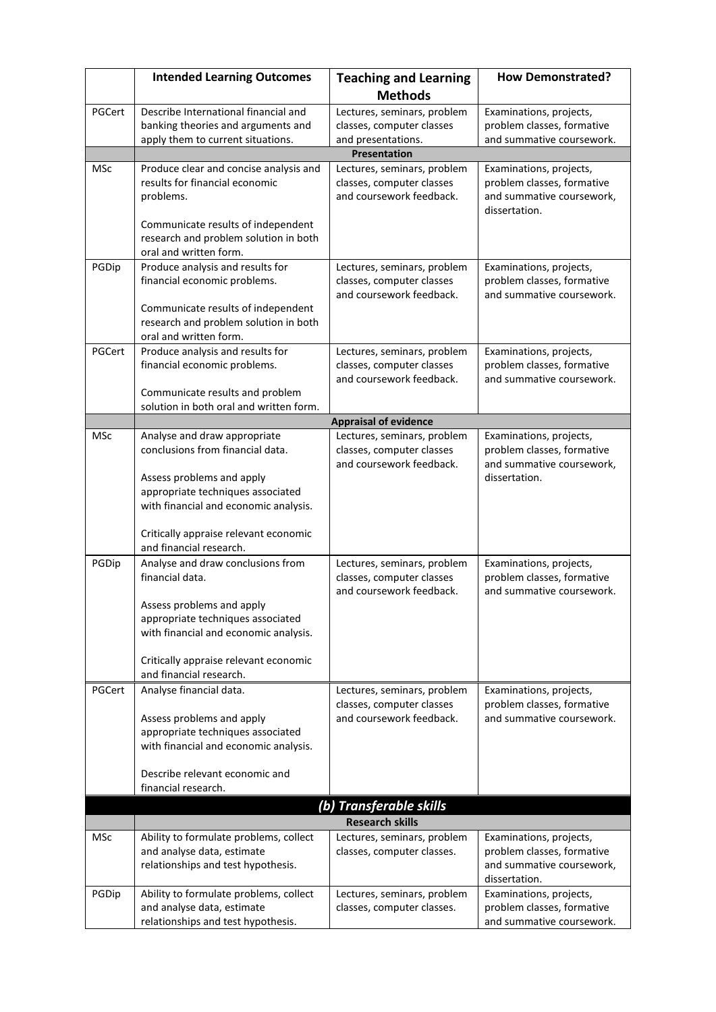|            | <b>Intended Learning Outcomes</b>                                                                                                                                                           | <b>Teaching and Learning</b>                                                         | <b>How Demonstrated?</b>                                                                            |
|------------|---------------------------------------------------------------------------------------------------------------------------------------------------------------------------------------------|--------------------------------------------------------------------------------------|-----------------------------------------------------------------------------------------------------|
|            |                                                                                                                                                                                             | <b>Methods</b>                                                                       |                                                                                                     |
| PGCert     | Describe International financial and<br>banking theories and arguments and<br>apply them to current situations.                                                                             | Lectures, seminars, problem<br>classes, computer classes<br>and presentations.       | Examinations, projects,<br>problem classes, formative<br>and summative coursework.                  |
|            |                                                                                                                                                                                             | <b>Presentation</b>                                                                  |                                                                                                     |
| <b>MSc</b> | Produce clear and concise analysis and<br>results for financial economic<br>problems.<br>Communicate results of independent                                                                 | Lectures, seminars, problem<br>classes, computer classes<br>and coursework feedback. | Examinations, projects,<br>problem classes, formative<br>and summative coursework,<br>dissertation. |
|            | research and problem solution in both<br>oral and written form.                                                                                                                             |                                                                                      |                                                                                                     |
| PGDip      | Produce analysis and results for<br>financial economic problems.                                                                                                                            | Lectures, seminars, problem<br>classes, computer classes<br>and coursework feedback. | Examinations, projects,<br>problem classes, formative<br>and summative coursework.                  |
|            | Communicate results of independent<br>research and problem solution in both<br>oral and written form.                                                                                       |                                                                                      |                                                                                                     |
| PGCert     | Produce analysis and results for<br>financial economic problems.                                                                                                                            | Lectures, seminars, problem<br>classes, computer classes<br>and coursework feedback. | Examinations, projects,<br>problem classes, formative<br>and summative coursework.                  |
|            | Communicate results and problem<br>solution in both oral and written form.                                                                                                                  |                                                                                      |                                                                                                     |
|            |                                                                                                                                                                                             | <b>Appraisal of evidence</b>                                                         |                                                                                                     |
| MSc        | Analyse and draw appropriate<br>conclusions from financial data.                                                                                                                            | Lectures, seminars, problem<br>classes, computer classes                             | Examinations, projects,<br>problem classes, formative                                               |
|            | Assess problems and apply<br>appropriate techniques associated<br>with financial and economic analysis.<br>Critically appraise relevant economic<br>and financial research.                 | and coursework feedback.                                                             | and summative coursework,<br>dissertation.                                                          |
| PGDip      | Analyse and draw conclusions from<br>financial data.                                                                                                                                        | Lectures, seminars, problem<br>classes, computer classes                             | Examinations, projects,<br>problem classes, formative                                               |
|            | Assess problems and apply<br>appropriate techniques associated<br>with financial and economic analysis.<br>Critically appraise relevant economic<br>and financial research.                 | and coursework feedback.                                                             | and summative coursework.                                                                           |
| PGCert     | Analyse financial data.<br>Assess problems and apply<br>appropriate techniques associated<br>with financial and economic analysis.<br>Describe relevant economic and<br>financial research. | Lectures, seminars, problem<br>classes, computer classes<br>and coursework feedback. | Examinations, projects,<br>problem classes, formative<br>and summative coursework.                  |
|            |                                                                                                                                                                                             | (b) Transferable skills                                                              |                                                                                                     |
|            |                                                                                                                                                                                             | <b>Research skills</b>                                                               |                                                                                                     |
| MSc        | Ability to formulate problems, collect<br>and analyse data, estimate<br>relationships and test hypothesis.                                                                                  | Lectures, seminars, problem<br>classes, computer classes.                            | Examinations, projects,<br>problem classes, formative<br>and summative coursework,<br>dissertation. |
| PGDip      | Ability to formulate problems, collect<br>and analyse data, estimate<br>relationships and test hypothesis.                                                                                  | Lectures, seminars, problem<br>classes, computer classes.                            | Examinations, projects,<br>problem classes, formative<br>and summative coursework.                  |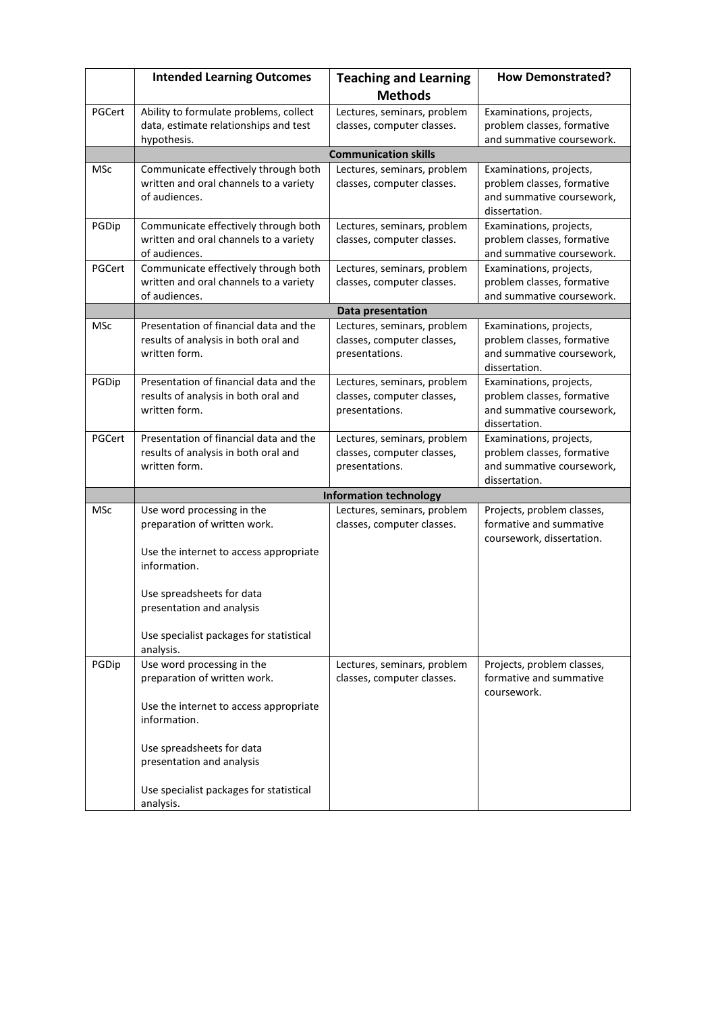|            | <b>Intended Learning Outcomes</b>                                              | <b>Teaching and Learning</b>                                 | <b>How Demonstrated?</b>                              |
|------------|--------------------------------------------------------------------------------|--------------------------------------------------------------|-------------------------------------------------------|
|            |                                                                                | <b>Methods</b>                                               |                                                       |
| PGCert     | Ability to formulate problems, collect                                         | Lectures, seminars, problem                                  | Examinations, projects,                               |
|            | data, estimate relationships and test                                          | classes, computer classes.                                   | problem classes, formative                            |
|            | hypothesis.                                                                    |                                                              | and summative coursework.                             |
|            |                                                                                | <b>Communication skills</b>                                  |                                                       |
| <b>MSc</b> | Communicate effectively through both<br>written and oral channels to a variety | Lectures, seminars, problem<br>classes, computer classes.    | Examinations, projects,<br>problem classes, formative |
|            | of audiences.                                                                  |                                                              | and summative coursework,                             |
|            |                                                                                |                                                              | dissertation.                                         |
| PGDip      | Communicate effectively through both                                           | Lectures, seminars, problem                                  | Examinations, projects,                               |
|            | written and oral channels to a variety                                         | classes, computer classes.                                   | problem classes, formative                            |
|            | of audiences.                                                                  |                                                              | and summative coursework.                             |
| PGCert     | Communicate effectively through both                                           | Lectures, seminars, problem                                  | Examinations, projects,                               |
|            | written and oral channels to a variety                                         | classes, computer classes.                                   | problem classes, formative                            |
|            | of audiences.                                                                  |                                                              | and summative coursework.                             |
|            |                                                                                | Data presentation                                            |                                                       |
| <b>MSc</b> | Presentation of financial data and the<br>results of analysis in both oral and | Lectures, seminars, problem<br>classes, computer classes,    | Examinations, projects,<br>problem classes, formative |
|            | written form.                                                                  | presentations.                                               | and summative coursework,                             |
|            |                                                                                |                                                              | dissertation.                                         |
| PGDip      | Presentation of financial data and the                                         | Lectures, seminars, problem                                  | Examinations, projects,                               |
|            | results of analysis in both oral and<br>written form.                          | classes, computer classes,                                   | problem classes, formative                            |
|            |                                                                                | presentations.                                               | and summative coursework,<br>dissertation.            |
| PGCert     | Presentation of financial data and the                                         | Lectures, seminars, problem                                  | Examinations, projects,                               |
|            | results of analysis in both oral and                                           | classes, computer classes,                                   | problem classes, formative                            |
|            | written form.                                                                  | presentations.                                               | and summative coursework,                             |
|            |                                                                                |                                                              | dissertation.                                         |
| <b>MSc</b> | Use word processing in the                                                     | <b>Information technology</b><br>Lectures, seminars, problem | Projects, problem classes,                            |
|            | preparation of written work.                                                   | classes, computer classes.                                   | formative and summative                               |
|            |                                                                                |                                                              | coursework, dissertation.                             |
|            | Use the internet to access appropriate                                         |                                                              |                                                       |
|            | information.                                                                   |                                                              |                                                       |
|            |                                                                                |                                                              |                                                       |
|            | Use spreadsheets for data                                                      |                                                              |                                                       |
|            | presentation and analysis                                                      |                                                              |                                                       |
|            | Use specialist packages for statistical                                        |                                                              |                                                       |
|            | analysis.                                                                      |                                                              |                                                       |
| PGDip      | Use word processing in the                                                     | Lectures, seminars, problem                                  | Projects, problem classes,                            |
|            | preparation of written work.                                                   | classes, computer classes.                                   | formative and summative                               |
|            |                                                                                |                                                              | coursework.                                           |
|            | Use the internet to access appropriate<br>information.                         |                                                              |                                                       |
|            |                                                                                |                                                              |                                                       |
|            | Use spreadsheets for data                                                      |                                                              |                                                       |
|            | presentation and analysis                                                      |                                                              |                                                       |
|            |                                                                                |                                                              |                                                       |
|            | Use specialist packages for statistical                                        |                                                              |                                                       |
|            | analysis.                                                                      |                                                              |                                                       |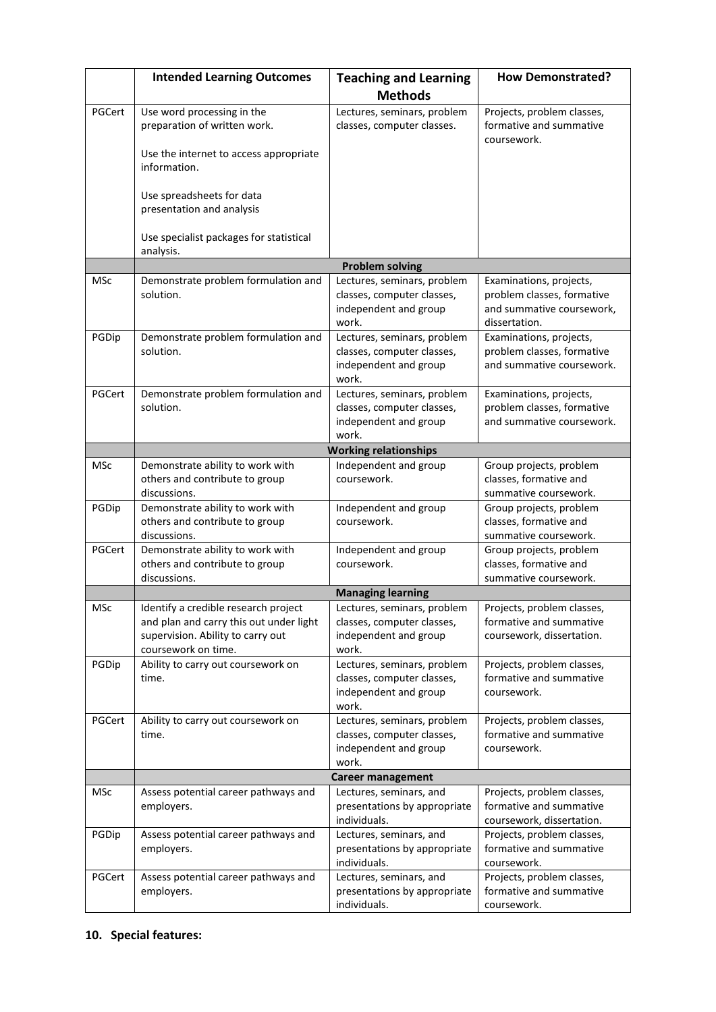|            | <b>Intended Learning Outcomes</b>                                                                                                           | <b>Teaching and Learning</b>                                                                | <b>How Demonstrated?</b>                                                                            |
|------------|---------------------------------------------------------------------------------------------------------------------------------------------|---------------------------------------------------------------------------------------------|-----------------------------------------------------------------------------------------------------|
|            |                                                                                                                                             | <b>Methods</b>                                                                              |                                                                                                     |
| PGCert     | Use word processing in the<br>preparation of written work.                                                                                  | Lectures, seminars, problem<br>classes, computer classes.                                   | Projects, problem classes,<br>formative and summative<br>coursework.                                |
|            | Use the internet to access appropriate<br>information.                                                                                      |                                                                                             |                                                                                                     |
|            | Use spreadsheets for data<br>presentation and analysis                                                                                      |                                                                                             |                                                                                                     |
|            | Use specialist packages for statistical<br>analysis.                                                                                        |                                                                                             |                                                                                                     |
|            |                                                                                                                                             | <b>Problem solving</b>                                                                      |                                                                                                     |
| <b>MSc</b> | Demonstrate problem formulation and<br>solution.                                                                                            | Lectures, seminars, problem<br>classes, computer classes,<br>independent and group<br>work. | Examinations, projects,<br>problem classes, formative<br>and summative coursework,<br>dissertation. |
| PGDip      | Demonstrate problem formulation and<br>solution.                                                                                            | Lectures, seminars, problem<br>classes, computer classes,<br>independent and group<br>work. | Examinations, projects,<br>problem classes, formative<br>and summative coursework.                  |
| PGCert     | Demonstrate problem formulation and<br>solution.                                                                                            | Lectures, seminars, problem<br>classes, computer classes,<br>independent and group<br>work. | Examinations, projects,<br>problem classes, formative<br>and summative coursework.                  |
|            |                                                                                                                                             | <b>Working relationships</b>                                                                |                                                                                                     |
| <b>MSc</b> | Demonstrate ability to work with<br>others and contribute to group<br>discussions.                                                          | Independent and group<br>coursework.                                                        | Group projects, problem<br>classes, formative and<br>summative coursework.                          |
| PGDip      | Demonstrate ability to work with<br>others and contribute to group<br>discussions.                                                          | Independent and group<br>coursework.                                                        | Group projects, problem<br>classes, formative and<br>summative coursework.                          |
| PGCert     | Demonstrate ability to work with<br>others and contribute to group<br>discussions.                                                          | Independent and group<br>coursework.                                                        | Group projects, problem<br>classes, formative and<br>summative coursework.                          |
|            |                                                                                                                                             | <b>Managing learning</b>                                                                    |                                                                                                     |
| MSc        | Identify a credible research project<br>and plan and carry this out under light<br>supervision. Ability to carry out<br>coursework on time. | Lectures, seminars, problem<br>classes, computer classes,<br>independent and group<br>work. | Projects, problem classes,<br>formative and summative<br>coursework, dissertation.                  |
| PGDip      | Ability to carry out coursework on<br>time.                                                                                                 | Lectures, seminars, problem<br>classes, computer classes,<br>independent and group<br>work. | Projects, problem classes,<br>formative and summative<br>coursework.                                |
| PGCert     | Ability to carry out coursework on<br>time.                                                                                                 | Lectures, seminars, problem<br>classes, computer classes,<br>independent and group<br>work. | Projects, problem classes,<br>formative and summative<br>coursework.                                |
|            |                                                                                                                                             | <b>Career management</b>                                                                    |                                                                                                     |
| <b>MSc</b> | Assess potential career pathways and<br>employers.                                                                                          | Lectures, seminars, and<br>presentations by appropriate<br>individuals.                     | Projects, problem classes,<br>formative and summative<br>coursework, dissertation.                  |
| PGDip      | Assess potential career pathways and<br>employers.                                                                                          | Lectures, seminars, and<br>presentations by appropriate<br>individuals.                     | Projects, problem classes,<br>formative and summative<br>coursework.                                |
| PGCert     | Assess potential career pathways and<br>employers.                                                                                          | Lectures, seminars, and<br>presentations by appropriate<br>individuals.                     | Projects, problem classes,<br>formative and summative<br>coursework.                                |

# **10. Special features:**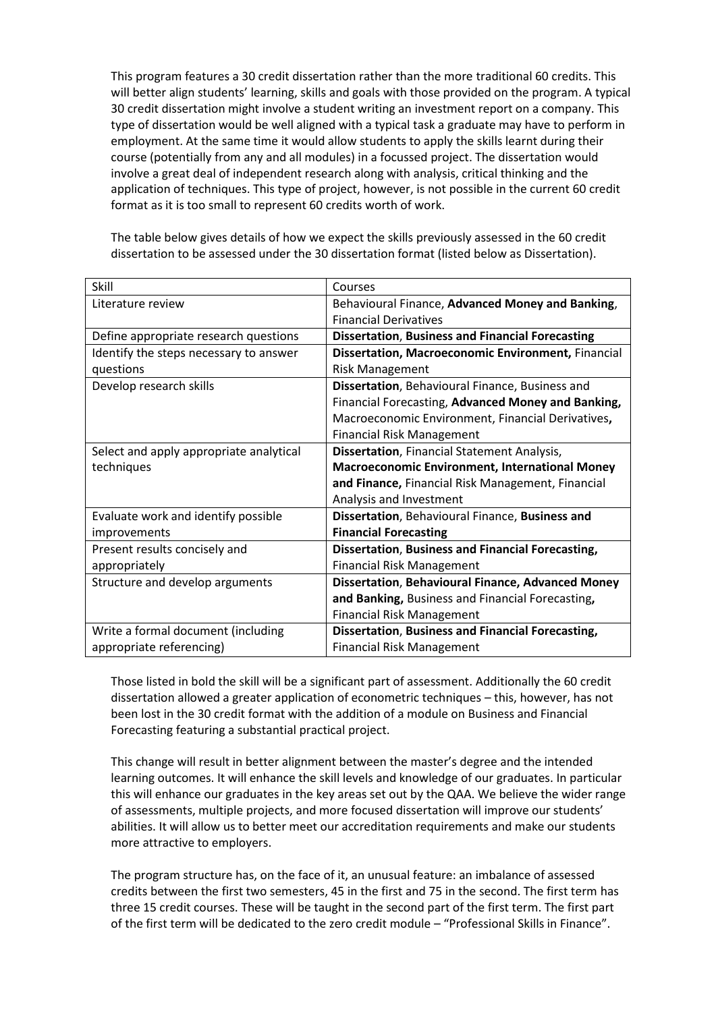This program features a 30 credit dissertation rather than the more traditional 60 credits. This will better align students' learning, skills and goals with those provided on the program. A typical 30 credit dissertation might involve a student writing an investment report on a company. This type of dissertation would be well aligned with a typical task a graduate may have to perform in employment. At the same time it would allow students to apply the skills learnt during their course (potentially from any and all modules) in a focussed project. The dissertation would involve a great deal of independent research along with analysis, critical thinking and the application of techniques. This type of project, however, is not possible in the current 60 credit format as it is too small to represent 60 credits worth of work.

| Skill                                   | Courses                                                   |
|-----------------------------------------|-----------------------------------------------------------|
| Literature review                       | Behavioural Finance, Advanced Money and Banking,          |
|                                         | <b>Financial Derivatives</b>                              |
| Define appropriate research questions   | <b>Dissertation, Business and Financial Forecasting</b>   |
| Identify the steps necessary to answer  | <b>Dissertation, Macroeconomic Environment, Financial</b> |
| questions                               | <b>Risk Management</b>                                    |
| Develop research skills                 | Dissertation, Behavioural Finance, Business and           |
|                                         | Financial Forecasting, Advanced Money and Banking,        |
|                                         | Macroeconomic Environment, Financial Derivatives,         |
|                                         | <b>Financial Risk Management</b>                          |
| Select and apply appropriate analytical | <b>Dissertation, Financial Statement Analysis,</b>        |
| techniques                              | <b>Macroeconomic Environment, International Money</b>     |
|                                         | and Finance, Financial Risk Management, Financial         |
|                                         | Analysis and Investment                                   |
| Evaluate work and identify possible     | Dissertation, Behavioural Finance, Business and           |
| improvements                            | <b>Financial Forecasting</b>                              |
| Present results concisely and           | <b>Dissertation, Business and Financial Forecasting,</b>  |
| appropriately                           | <b>Financial Risk Management</b>                          |
| Structure and develop arguments         | <b>Dissertation, Behavioural Finance, Advanced Money</b>  |
|                                         | and Banking, Business and Financial Forecasting,          |
|                                         | <b>Financial Risk Management</b>                          |
| Write a formal document (including      | <b>Dissertation, Business and Financial Forecasting,</b>  |
| appropriate referencing)                | <b>Financial Risk Management</b>                          |

The table below gives details of how we expect the skills previously assessed in the 60 credit dissertation to be assessed under the 30 dissertation format (listed below as Dissertation).

Those listed in bold the skill will be a significant part of assessment. Additionally the 60 credit dissertation allowed a greater application of econometric techniques – this, however, has not been lost in the 30 credit format with the addition of a module on Business and Financial Forecasting featuring a substantial practical project.

This change will result in better alignment between the master's degree and the intended learning outcomes. It will enhance the skill levels and knowledge of our graduates. In particular this will enhance our graduates in the key areas set out by the QAA. We believe the wider range of assessments, multiple projects, and more focused dissertation will improve our students' abilities. It will allow us to better meet our accreditation requirements and make our students more attractive to employers.

The program structure has, on the face of it, an unusual feature: an imbalance of assessed credits between the first two semesters, 45 in the first and 75 in the second. The first term has three 15 credit courses. These will be taught in the second part of the first term. The first part of the first term will be dedicated to the zero credit module – "Professional Skills in Finance".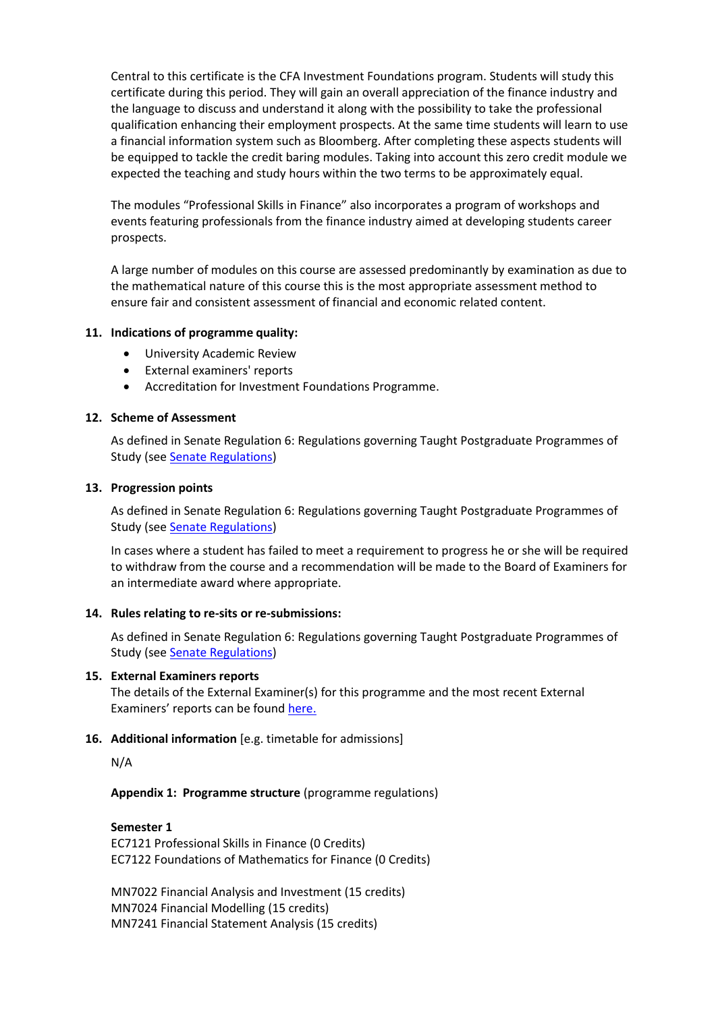Central to this certificate is the CFA Investment Foundations program. Students will study this certificate during this period. They will gain an overall appreciation of the finance industry and the language to discuss and understand it along with the possibility to take the professional qualification enhancing their employment prospects. At the same time students will learn to use a financial information system such as Bloomberg. After completing these aspects students will be equipped to tackle the credit baring modules. Taking into account this zero credit module we expected the teaching and study hours within the two terms to be approximately equal.

The modules "Professional Skills in Finance" also incorporates a program of workshops and events featuring professionals from the finance industry aimed at developing students career prospects.

A large number of modules on this course are assessed predominantly by examination as due to the mathematical nature of this course this is the most appropriate assessment method to ensure fair and consistent assessment of financial and economic related content.

#### **11. Indications of programme quality:**

- University Academic Review
- External examiners' reports
- Accreditation for Investment Foundations Programme.

#### **12. Scheme of Assessment**

As defined in Senate Regulation 6: Regulations governing Taught Postgraduate Programmes of Study (see [Senate Regulations\)](http://www2.le.ac.uk/offices/sas2/regulations/general-regulations-for-taught-programmes)

#### **13. Progression points**

As defined in Senate Regulation 6: Regulations governing Taught Postgraduate Programmes of Study (see **Senate Regulations**)

In cases where a student has failed to meet a requirement to progress he or she will be required to withdraw from the course and a recommendation will be made to the Board of Examiners for an intermediate award where appropriate.

#### **14. Rules relating to re-sits or re-submissions:**

As defined in Senate Regulation 6: Regulations governing Taught Postgraduate Programmes of Study (see [Senate Regulations\)](http://www2.le.ac.uk/offices/sas2/regulations/general-regulations-for-taught-programmes)

#### **15. External Examiners reports**

The details of the External Examiner(s) for this programme and the most recent External Examiners' reports can be found [here.](https://exampapers.le.ac.uk/xmlui/)

# **16. Additional information** [e.g. timetable for admissions]

N/A

**Appendix 1: Programme structure** (programme regulations)

#### **Semester 1**

EC7121 Professional Skills in Finance (0 Credits) EC7122 Foundations of Mathematics for Finance (0 Credits)

MN7022 Financial Analysis and Investment (15 credits) MN7024 Financial Modelling (15 credits) MN7241 Financial Statement Analysis (15 credits)